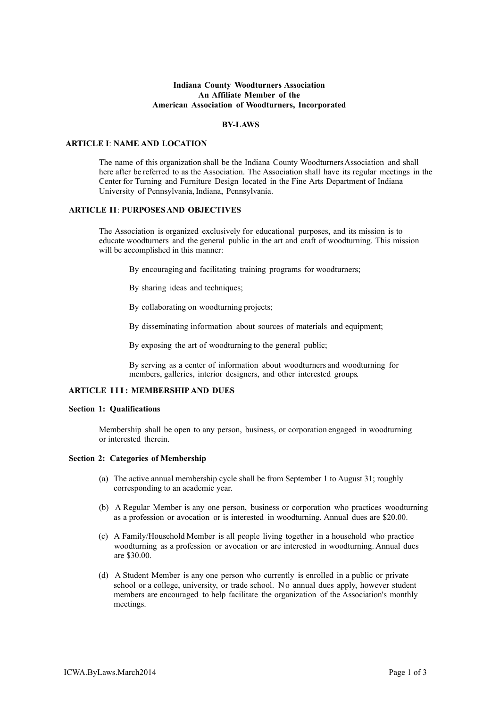## **Indiana County Woodturners Association An Affiliate Member of the American Association of Woodturners, Incorporated**

### **BY-LAWS**

## **ARTICLE I**: **NAME AND LOCATION**

The name of this organization shall be the Indiana County WoodturnersAssociation and shall here after be referred to as the Association. The Association shall have its regular meetings in the Center for Turning and Furniture Design located in the Fine Arts Department of Indiana University of Pennsylvania, Indiana, Pennsylvania.

### **ARTICLE II**: **PURPOSESAND OBJECTIVES**

The Association is organized exclusively for educational purposes, and its mission is to educate woodturners and the general public in the art and craft of woodturning. This mission will be accomplished in this manner:

By encouraging and facilitating training programs for woodturners;

By sharing ideas and techniques;

By collaborating on woodturning projects;

By disseminating information about sources of materials and equipment;

By exposing the art of woodturning to the general public;

By serving as a center of information about woodturners and woodturning for members, galleries, interior designers, and other interested groups.

# **ARTICLE III : MEMBERSHIP AND DUES**

### **Section 1: Qualifications**

Membership shall be open to any person, business, or corporation engaged in woodturning or interested therein.

## **Section 2: Categories of Membership**

- (a) The active annual membership cycle shall be from September 1 to August 31; roughly corresponding to an academic year.
- (b) A Regular Member is any one person, business or corporation who practices woodturning as a profession or avocation or is interested in woodturning. Annual dues are \$20.00.
- (c) A Family/Household Member is all people living together in a household who practice woodturning as a profession or avocation or are interested in woodturning. Annual dues are \$30.00.
- (d) A Student Member is any one person who currently is enrolled in a public or private school or a college, university, or trade school. No annual dues apply, however student members are encouraged to help facilitate the organization of the Association's monthly meetings.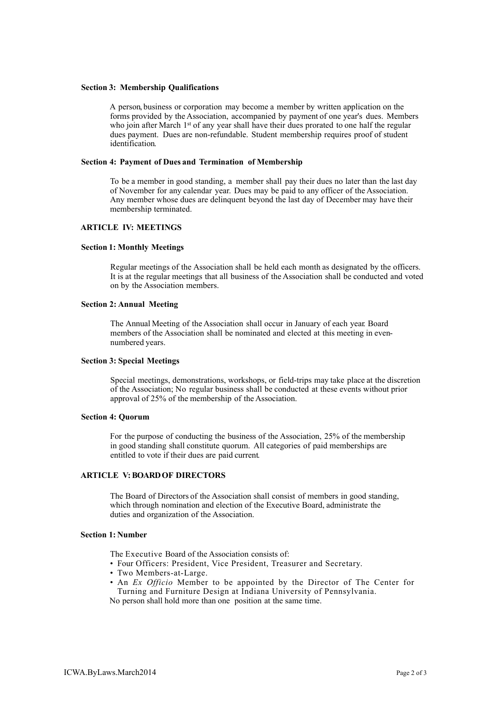### **Section 3: Membership Qualifications**

A person, business or corporation may become a member by written application on the forms provided by the Association, accompanied by payment of one year's dues. Members who join after March 1<sup>st</sup> of any year shall have their dues prorated to one half the regular dues payment. Dues are non-refundable. Student membership requires proof of student identification.

#### **Section 4: Payment of Dues and Termination of Membership**

To be a member in good standing, a member shall pay their dues no later than the last day of November for any calendar year. Dues may be paid to any officer of the Association. Any member whose dues are delinquent beyond the last day of December may have their membership terminated.

## **ARTICLE IV: MEETINGS**

#### **Section 1: Monthly Meetings**

Regular meetings of the Association shall be held each month as designated by the officers. It is at the regular meetings that all business of the Association shall be conducted and voted on by the Association members.

### **Section 2: Annual Meeting**

The Annual Meeting of the Association shall occur in January of each year. Board members of the Association shall be nominated and elected at this meeting in evennumbered years.

### **Section 3: Special Meetings**

Special meetings, demonstrations, workshops, or field-trips may take place at the discretion of the Association; No regular business shall be conducted at these events without prior approval of 25% of the membership of the Association.

#### **Section 4: Quorum**

For the purpose of conducting the business of the Association, 25% of the membership in good standing shall constitute quorum. All categories of paid memberships are entitled to vote if their dues are paid current.

## **ARTICLE V: BOARDOF DIRECTORS**

The Board of Directors of the Association shall consist of members in good standing, which through nomination and election of the Executive Board, administrate the duties and organization of the Association.

#### **Section 1: Number**

The Executive Board of the Association consists of:

- Four Officers: President, Vice President, Treasurer and Secretary.
- Two Members-at-Large.
- An *Ex Officio* Member to be appointed by the Director of The Center for Turning and Furniture Design at Indiana University of Pennsylvania.

No person shall hold more than one position at the same time.